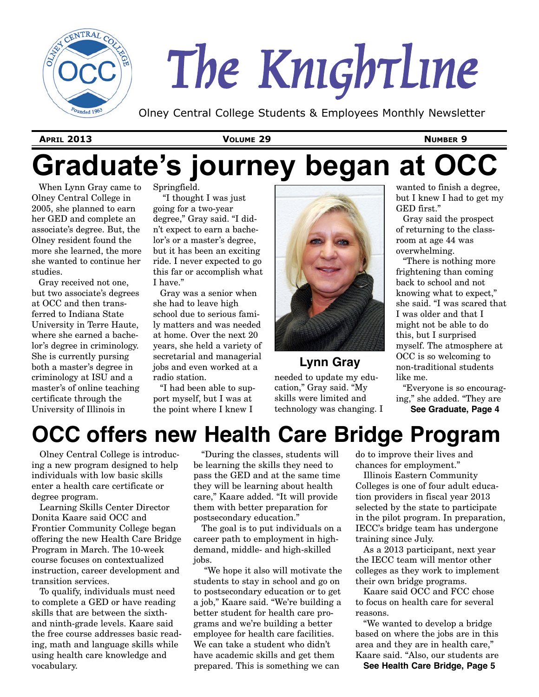

# *The Knightline*

Olney Central College Students & Employees Monthly Newsletter

**APRIL 2013 VOLUME 29 NUMBER 9**

# **Graduate's journey began at OCC**

When Lynn Gray came to Olney Central College in 2005, she planned to earn her GED and complete an associate's degree. But, the Olney resident found the more she learned, the more she wanted to continue her studies.

Gray received not one, but two associate's degrees at OCC and then transferred to Indiana State University in Terre Haute, where she earned a bachelor's degree in criminology. She is currently pursing both a master's degree in criminology at ISU and a master's of online teaching certificate through the University of Illinois in

Springfield.

"I thought I was just going for a two-year degree," Gray said. "I didn't expect to earn a bachelor's or a master's degree, but it has been an exciting ride. I never expected to go this far or accomplish what I have."

Gray was a senior when she had to leave high school due to serious family matters and was needed at home. Over the next 20 years, she held a variety of secretarial and managerial jobs and even worked at a radio station.

"I had been able to support myself, but I was at the point where I knew I



**Lynn Gray**

needed to update my education," Gray said. "My skills were limited and technology was changing. I

wanted to finish a degree, but I knew I had to get my GED first."

Gray said the prospect of returning to the classroom at age 44 was overwhelming.

"There is nothing more frightening than coming back to school and not knowing what to expect," she said. "I was scared that I was older and that I might not be able to do this, but I surprised myself. The atmosphere at OCC is so welcoming to non-traditional students like me.

"Everyone is so encouraging," she added. "They are **See Graduate, Page 4**

# **OCC offers new Health Care Bridge Program**

Olney Central College is introducing a new program designed to help individuals with low basic skills enter a health care certificate or degree program.

Learning Skills Center Director Donita Kaare said OCC and Frontier Community College began offering the new Health Care Bridge Program in March. The 10-week course focuses on contextualized instruction, career development and transition services.

To qualify, individuals must need to complete a GED or have reading skills that are between the sixthand ninth-grade levels. Kaare said the free course addresses basic reading, math and language skills while using health care knowledge and vocabulary.

"During the classes, students will be learning the skills they need to pass the GED and at the same time they will be learning about health care," Kaare added. "It will provide them with better preparation for postsecondary education."

The goal is to put individuals on a career path to employment in highdemand, middle- and high-skilled jobs.

"We hope it also will motivate the students to stay in school and go on to postsecondary education or to get a job," Kaare said. "We're building a better student for health care programs and we're building a better employee for health care facilities. We can take a student who didn't have academic skills and get them prepared. This is something we can

do to improve their lives and chances for employment."

Illinois Eastern Community Colleges is one of four adult education providers in fiscal year 2013 selected by the state to participate in the pilot program. In preparation, IECC's bridge team has undergone training since July.

As a 2013 participant, next year the IECC team will mentor other colleges as they work to implement their own bridge programs.

Kaare said OCC and FCC chose to focus on health care for several reasons.

"We wanted to develop a bridge based on where the jobs are in this area and they are in health care," Kaare said. "Also, our students are

**See Health Care Bridge, Page 5**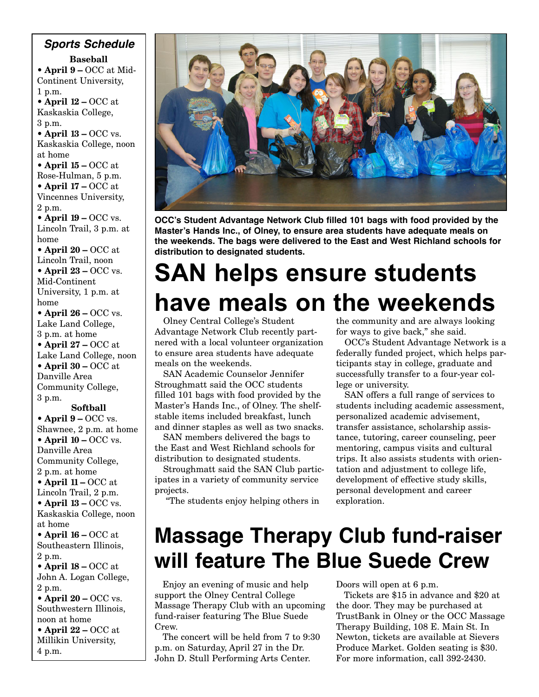**Baseball • April 9 –** OCC at Mid-Continent University, 1 p.m. **• April 12 –** OCC at Kaskaskia College, 3 p.m. • **April 13 – OCC vs.** Kaskaskia College, noon at home **• April 15 –** OCC at Rose-Hulman, 5 p.m. **• April 17 –** OCC at Vincennes University, 2 p.m. • **April 19 – OCC vs.** Lincoln Trail, 3 p.m. at home **• April 20 –** OCC at Lincoln Trail, noon • **April 23 – OCC vs.** Mid-Continent University, 1 p.m. at home • **April 26 – OCC vs.** Lake Land College, 3 p.m. at home **• April 27 –** OCC at Lake Land College, noon **• April 30 –** OCC at Danville Area Community College, 3 p.m. **Softball** • **April 9 – OCC vs.** Shawnee, 2 p.m. at home • **April 10 – OCC vs.** Danville Area Community College, *Sports Schedule*

2 p.m. at home **• April 11 –** OCC at Lincoln Trail, 2 p.m. • **April 13 – OCC vs.** Kaskaskia College, noon at home **• April 16 –** OCC at Southeastern Illinois, 2 p.m.

**• April 18 –** OCC at John A. Logan College, 2 p.m.

• **April 20 – OCC vs.** Southwestern Illinois, noon at home **• April 22 –** OCC at

Millikin University, 4 p.m.



**OCC's Student Advantage Network Club filled 101 bags with food provided by the Master's Hands Inc., of Olney, to ensure area students have adequate meals on the weekends. The bags were delivered to the East and West Richland schools for distribution to designated students.**

# **SAN helps ensure students have meals on the weekends**

Olney Central College's Student Advantage Network Club recently partnered with a local volunteer organization to ensure area students have adequate meals on the weekends.

SAN Academic Counselor Jennifer Stroughmatt said the OCC students filled 101 bags with food provided by the Master's Hands Inc., of Olney. The shelfstable items included breakfast, lunch and dinner staples as well as two snacks.

SAN members delivered the bags to the East and West Richland schools for distribution to designated students.

Stroughmatt said the SAN Club participates in a variety of community service projects.

"The students enjoy helping others in

the community and are always looking for ways to give back," she said.

OCC's Student Advantage Network is a federally funded project, which helps participants stay in college, graduate and successfully transfer to a four-year college or university.

SAN offers a full range of services to students including academic assessment, personalized academic advisement, transfer assistance, scholarship assistance, tutoring, career counseling, peer mentoring, campus visits and cultural trips. It also assists students with orientation and adjustment to college life, development of effective study skills, personal development and career exploration.

# **Massage Therapy Club fund-raiser will feature The Blue Suede Crew**

Enjoy an evening of music and help support the Olney Central College Massage Therapy Club with an upcoming fund-raiser featuring The Blue Suede Crew.

The concert will be held from 7 to 9:30 p.m. on Saturday, April 27 in the Dr. John D. Stull Performing Arts Center.

Doors will open at 6 p.m.

Tickets are \$15 in advance and \$20 at the door. They may be purchased at TrustBank in Olney or the OCC Massage Therapy Building, 108 E. Main St. In Newton, tickets are available at Sievers Produce Market. Golden seating is \$30. For more information, call 392-2430.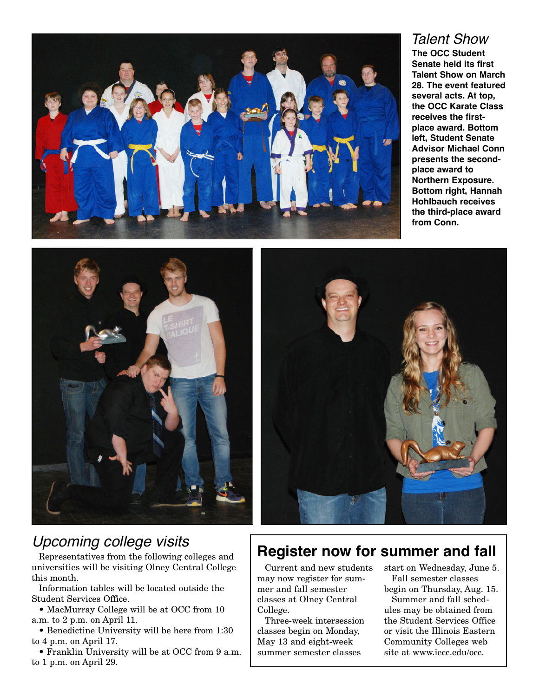

#### *Talent Show* **The OCC Student Senate held its first Talent Show on March 28. The event featured several acts. At top, the OCC Karate Class receives the firstplace award. Bottom left, Student Senate Advisor Michael Conn presents the secondplace award to Northern Exposure. Bottom right, Hannah Hohlbauch receives the third-place award from Conn.**





#### *Upcoming college visits*

Representatives from the following colleges and universities will be visiting Olney Central College this month.

Information tables will be located outside the Student Services Office.

• MacMurray College will be at OCC from 10 a.m. to 2 p.m. on April 11.

• Benedictine University will be here from 1:30 to 4 p.m. on April 17.

• Franklin University will be at OCC from 9 a.m. to 1 p.m. on April 29.

#### **Register now for summer and fall**

Current and new students may now register for summer and fall semester classes at Olney Central College.

Three-week intersession classes begin on Monday, May 13 and eight-week summer semester classes

start on Wednesday, June 5. Fall semester classes begin on Thursday, Aug. 15.

Summer and fall schedules may be obtained from the Student Services Office or visit the Illinois Eastern Community Colleges web site at www.iecc.edu/occ.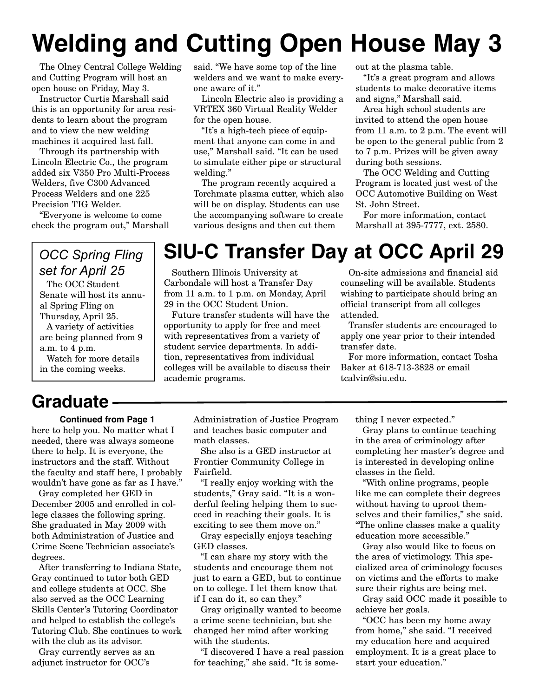# **Welding and Cutting Open House May 3**

The Olney Central College Welding and Cutting Program will host an open house on Friday, May 3.

Instructor Curtis Marshall said this is an opportunity for area residents to learn about the program and to view the new welding machines it acquired last fall.

Through its partnership with Lincoln Electric Co., the program added six V350 Pro Multi-Process Welders, five C300 Advanced Process Welders and one 225 Precision TIG Welder.

"Everyone is welcome to come check the program out," Marshall

#### *OCC Spring Fling set for April 25*

The OCC Student Senate will host its annual Spring Fling on Thursday, April 25. A variety of activities are being planned from 9 a.m. to 4 p.m.

Watch for more details in the coming weeks.

## **Graduate**

#### **Continued from Page 1**

here to help you. No matter what I needed, there was always someone there to help. It is everyone, the instructors and the staff. Without the faculty and staff here, I probably wouldn't have gone as far as I have."

Gray completed her GED in December 2005 and enrolled in college classes the following spring. She graduated in May 2009 with both Administration of Justice and Crime Scene Technician associate's degrees.

After transferring to Indiana State, Gray continued to tutor both GED and college students at OCC. She also served as the OCC Learning Skills Center's Tutoring Coordinator and helped to establish the college's Tutoring Club. She continues to work with the club as its advisor.

Gray currently serves as an adjunct instructor for OCC's

said. "We have some top of the line welders and we want to make everyone aware of it."

Lincoln Electric also is providing a VRTEX 360 Virtual Reality Welder for the open house.

"It's a high-tech piece of equipment that anyone can come in and use," Marshall said. "It can be used to simulate either pipe or structural welding."

The program recently acquired a Torchmate plasma cutter, which also will be on display. Students can use the accompanying software to create various designs and then cut them

out at the plasma table.

"It's a great program and allows students to make decorative items and signs," Marshall said.

Area high school students are invited to attend the open house from 11 a.m. to 2 p.m. The event will be open to the general public from 2 to 7 p.m. Prizes will be given away during both sessions.

The OCC Welding and Cutting Program is located just west of the OCC Automotive Building on West St. John Street.

For more information, contact Marshall at 395-7777, ext. 2580.

## **SIU-C Transfer Day at OCC April 29**

Southern Illinois University at Carbondale will host a Transfer Day from 11 a.m. to 1 p.m. on Monday, April 29 in the OCC Student Union.

Future transfer students will have the opportunity to apply for free and meet with representatives from a variety of student service departments. In addition, representatives from individual colleges will be available to discuss their academic programs.

On-site admissions and financial aid counseling will be available. Students wishing to participate should bring an official transcript from all colleges attended.

Transfer students are encouraged to apply one year prior to their intended transfer date.

For more information, contact Tosha Baker at 618-713-3828 or email tcalvin@siu.edu.

Administration of Justice Program and teaches basic computer and math classes.

She also is a GED instructor at Frontier Community College in Fairfield.

"I really enjoy working with the students," Gray said. "It is a wonderful feeling helping them to succeed in reaching their goals. It is exciting to see them move on."

Gray especially enjoys teaching GED classes.

"I can share my story with the students and encourage them not just to earn a GED, but to continue on to college. I let them know that if I can do it, so can they."

Gray originally wanted to become a crime scene technician, but she changed her mind after working with the students.

"I discovered I have a real passion for teaching," she said. "It is something I never expected."

Gray plans to continue teaching in the area of criminology after completing her master's degree and is interested in developing online classes in the field.

"With online programs, people like me can complete their degrees without having to uproot themselves and their families," she said. "The online classes make a quality education more accessible."

Gray also would like to focus on the area of victimology. This specialized area of criminology focuses on victims and the efforts to make sure their rights are being met.

Gray said OCC made it possible to achieve her goals.

"OCC has been my home away from home," she said. "I received my education here and acquired employment. It is a great place to start your education."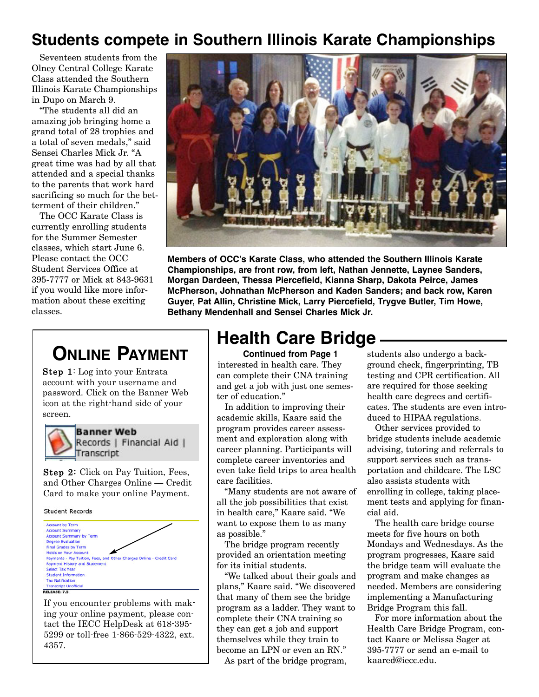#### **Students compete in Southern Illinois Karate Championships**

Seventeen students from the Olney Central College Karate Class attended the Southern Illinois Karate Championships in Dupo on March 9.

"The students all did an amazing job bringing home a grand total of 28 trophies and a total of seven medals," said Sensei Charles Mick Jr. "A great time was had by all that attended and a special thanks to the parents that work hard sacrificing so much for the betterment of their children."

The OCC Karate Class is currently enrolling students for the Summer Semester classes, which start June 6. Please contact the OCC Student Services Office at 395-7777 or Mick at 843-9631 if you would like more information about these exciting classes.



**Members of OCC's Karate Class, who attended the Southern Illinois Karate Championships, are front row, from left, Nathan Jennette, Laynee Sanders, Morgan Dardeen, Thessa Piercefield, Kianna Sharp, Dakota Peirce, James McPherson, Johnathan McPherson and Kaden Sanders; and back row, Karen Guyer, Pat Allin, Christine Mick, Larry Piercefield, Trygve Butler, Tim Howe, Bethany Mendenhall and Sensei Charles Mick Jr.** 

## **ONLINE PAYMENT**

Step 1: Log into your Entrata account with your username and password. Click on the Banner Web icon at the right-hand side of your screen.



**Banner Web** Records | Financial Aid | Transcript

Step 2: Click on Pay Tuition, Fees, and Other Charges Online — Credit Card to make your online Payment.

**Student Records** 



If you encounter problems with making your online payment, please contact the IECC HelpDesk at 618-395- 5299 or toll-free 1-866-529-4322, ext. 4357.

## **Health Care Bridge**

**Continued from Page 1** interested in health care. They can complete their CNA training and get a job with just one semester of education."

In addition to improving their academic skills, Kaare said the program provides career assessment and exploration along with career planning. Participants will complete career inventories and even take field trips to area health care facilities.

"Many students are not aware of all the job possibilities that exist in health care," Kaare said. "We want to expose them to as many as possible."

The bridge program recently provided an orientation meeting for its initial students.

"We talked about their goals and plans," Kaare said. "We discovered that many of them see the bridge program as a ladder. They want to complete their CNA training so they can get a job and support themselves while they train to become an LPN or even an RN."

As part of the bridge program,

students also undergo a background check, fingerprinting, TB testing and CPR certification. All are required for those seeking health care degrees and certificates. The students are even introduced to HIPAA regulations.

Other services provided to bridge students include academic advising, tutoring and referrals to support services such as transportation and childcare. The LSC also assists students with enrolling in college, taking placement tests and applying for financial aid.

The health care bridge course meets for five hours on both Mondays and Wednesdays. As the program progresses, Kaare said the bridge team will evaluate the program and make changes as needed. Members are considering implementing a Manufacturing Bridge Program this fall.

For more information about the Health Care Bridge Program, contact Kaare or Melissa Sager at 395-7777 or send an e-mail to kaared@iecc.edu.